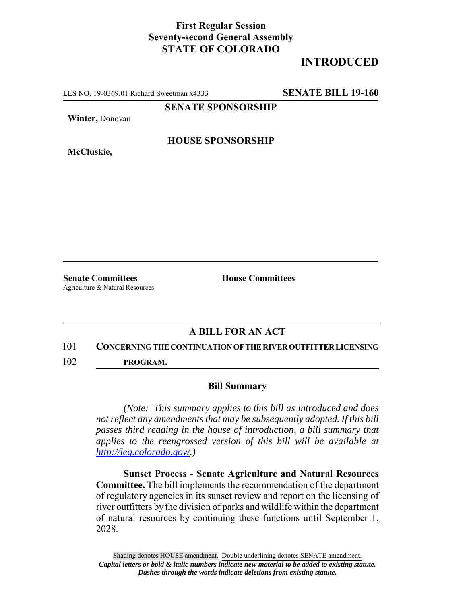## **First Regular Session Seventy-second General Assembly STATE OF COLORADO**

# **INTRODUCED**

LLS NO. 19-0369.01 Richard Sweetman x4333 **SENATE BILL 19-160**

**SENATE SPONSORSHIP**

**Winter,** Donovan

**HOUSE SPONSORSHIP**

**McCluskie,**

**Senate Committees House Committees** Agriculture & Natural Resources

## **A BILL FOR AN ACT**

#### 101 **CONCERNING THE CONTINUATION OF THE RIVER OUTFITTER LICENSING**

102 **PROGRAM.**

### **Bill Summary**

*(Note: This summary applies to this bill as introduced and does not reflect any amendments that may be subsequently adopted. If this bill passes third reading in the house of introduction, a bill summary that applies to the reengrossed version of this bill will be available at http://leg.colorado.gov/.)*

**Sunset Process - Senate Agriculture and Natural Resources Committee.** The bill implements the recommendation of the department of regulatory agencies in its sunset review and report on the licensing of river outfitters by the division of parks and wildlife within the department of natural resources by continuing these functions until September 1, 2028.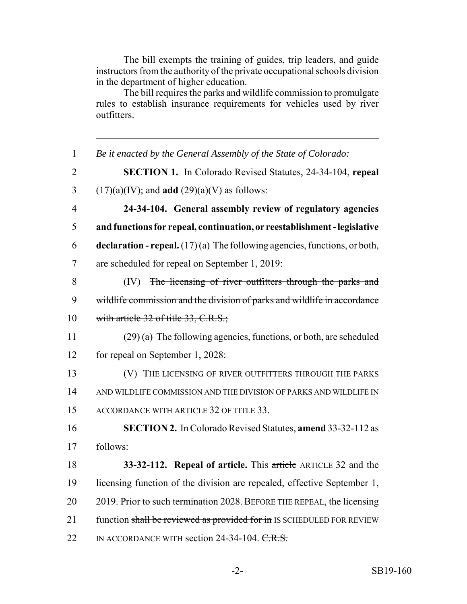The bill exempts the training of guides, trip leaders, and guide instructors from the authority of the private occupational schools division in the department of higher education.

The bill requires the parks and wildlife commission to promulgate rules to establish insurance requirements for vehicles used by river outfitters.

 *Be it enacted by the General Assembly of the State of Colorado:* **SECTION 1.** In Colorado Revised Statutes, 24-34-104, **repeal** 3 (17)(a)(IV); and **add** (29)(a)(V) as follows: **24-34-104. General assembly review of regulatory agencies and functions for repeal, continuation, or reestablishment - legislative declaration - repeal.** (17) (a) The following agencies, functions, or both, are scheduled for repeal on September 1, 2019: (IV) The licensing of river outfitters through the parks and wildlife commission and the division of parks and wildlife in accordance 10 with article 32 of title 33, C.R.S.; (29) (a) The following agencies, functions, or both, are scheduled for repeal on September 1, 2028: **(V)** THE LICENSING OF RIVER OUTFITTERS THROUGH THE PARKS AND WILDLIFE COMMISSION AND THE DIVISION OF PARKS AND WILDLIFE IN ACCORDANCE WITH ARTICLE 32 OF TITLE 33. **SECTION 2.** In Colorado Revised Statutes, **amend** 33-32-112 as 17 follows: **33-32-112. Repeal of article.** This article ARTICLE 32 and the licensing function of the division are repealed, effective September 1, 20 2019. Prior to such termination 2028. BEFORE THE REPEAL, the licensing 21 function shall be reviewed as provided for in IS SCHEDULED FOR REVIEW 22 IN ACCORDANCE WITH section 24-34-104. C.R.S.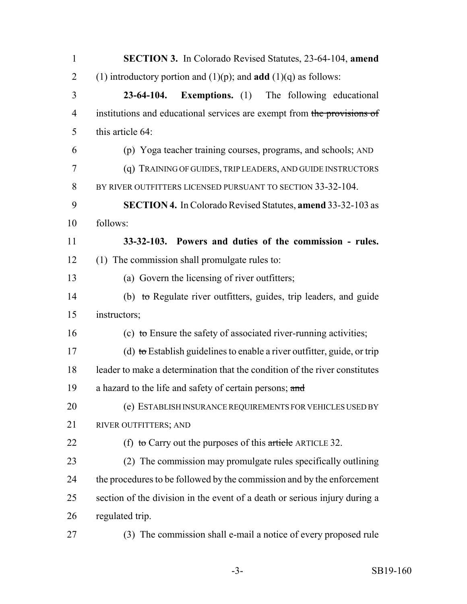| $\mathbf{1}$   | <b>SECTION 3.</b> In Colorado Revised Statutes, 23-64-104, amend           |
|----------------|----------------------------------------------------------------------------|
| $\overline{2}$ | (1) introductory portion and (1)(p); and <b>add</b> (1)(q) as follows:     |
| 3              | <b>Exemptions.</b> (1) The following educational<br>$23-64-104.$           |
| $\overline{4}$ | institutions and educational services are exempt from the provisions of    |
| 5              | this article 64:                                                           |
| 6              | (p) Yoga teacher training courses, programs, and schools; AND              |
| 7              | (q) TRAINING OF GUIDES, TRIP LEADERS, AND GUIDE INSTRUCTORS                |
| 8              | BY RIVER OUTFITTERS LICENSED PURSUANT TO SECTION 33-32-104.                |
| 9              | <b>SECTION 4.</b> In Colorado Revised Statutes, amend 33-32-103 as         |
| 10             | follows:                                                                   |
| 11             | 33-32-103. Powers and duties of the commission - rules.                    |
| 12             | (1) The commission shall promulgate rules to:                              |
| 13             | (a) Govern the licensing of river outfitters;                              |
| 14             | (b) to Regulate river outfitters, guides, trip leaders, and guide          |
| 15             | instructors;                                                               |
| 16             | (c) to Ensure the safety of associated river-running activities;           |
| 17             | (d) to Establish guidelines to enable a river outfitter, guide, or trip    |
| 18             | leader to make a determination that the condition of the river constitutes |
| 19             | a hazard to the life and safety of certain persons; and                    |
| 20             | (e) ESTABLISH INSURANCE REQUIREMENTS FOR VEHICLES USED BY                  |
| 21             | RIVER OUTFITTERS; AND                                                      |
| 22             | (f) to Carry out the purposes of this article ARTICLE 32.                  |
| 23             | (2) The commission may promulgate rules specifically outlining             |
| 24             | the procedures to be followed by the commission and by the enforcement     |
| 25             | section of the division in the event of a death or serious injury during a |
| 26             | regulated trip.                                                            |
| 27             | (3) The commission shall e-mail a notice of every proposed rule            |